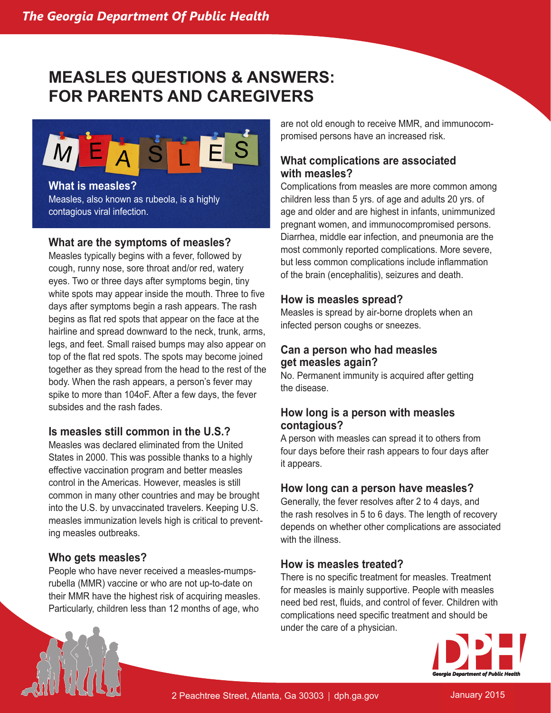# **MEASLES QUESTIONS & ANSWERS: FOR PARENTS AND CAREGIVERS**



**What is measles?** Measles, also known as rubeola, is a highly contagious viral infection.

#### **What are the symptoms of measles?**

Measles typically begins with a fever, followed by cough, runny nose, sore throat and/or red, watery eyes. Two or three days after symptoms begin, tiny white spots may appear inside the mouth. Three to five days after symptoms begin a rash appears. The rash begins as flat red spots that appear on the face at the hairline and spread downward to the neck, trunk, arms, legs, and feet. Small raised bumps may also appear on top of the flat red spots. The spots may become joined together as they spread from the head to the rest of the body. When the rash appears, a person's fever may spike to more than 104oF. After a few days, the fever subsides and the rash fades.

## **Is measles still common in the U.S.?**

Measles was declared eliminated from the United States in 2000. This was possible thanks to a highly effective vaccination program and better measles control in the Americas. However, measles is still common in many other countries and may be brought into the U.S. by unvaccinated travelers. Keeping U.S. measles immunization levels high is critical to preventing measles outbreaks.

## **Who gets measles?**

People who have never received a measles-mumpsrubella (MMR) vaccine or who are not up-to-date on their MMR have the highest risk of acquiring measles. Particularly, children less than 12 months of age, who

are not old enough to receive MMR, and immunocompromised persons have an increased risk.

# **What complications are associated with measles?**

Complications from measles are more common among children less than 5 yrs. of age and adults 20 yrs. of age and older and are highest in infants, unimmunized pregnant women, and immunocompromised persons. Diarrhea, middle ear infection, and pneumonia are the most commonly reported complications. More severe, but less common complications include inflammation of the brain (encephalitis), seizures and death.

#### **How is measles spread?**

Measles is spread by air-borne droplets when an infected person coughs or sneezes.

## **Can a person who had measles get measles again?**

No. Permanent immunity is acquired after getting the disease.

## **How long is a person with measles contagious?**

A person with measles can spread it to others from four days before their rash appears to four days after it appears.

#### **How long can a person have measles?**

Generally, the fever resolves after 2 to 4 days, and the rash resolves in 5 to 6 days. The length of recovery depends on whether other complications are associated with the illness.

## **How is measles treated?**

There is no specific treatment for measles. Treatment for measles is mainly supportive. People with measles need bed rest, fluids, and control of fever. Children with complications need specific treatment and should be under the care of a physician.